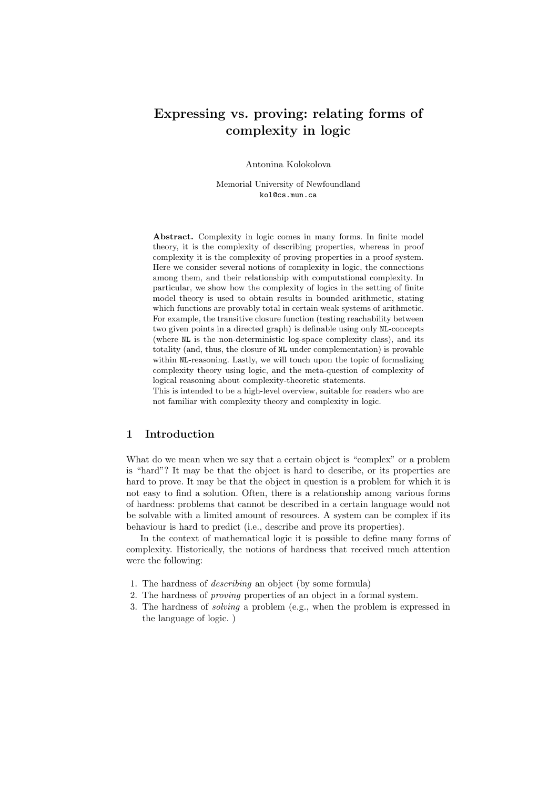# Expressing vs. proving: relating forms of complexity in logic

Antonina Kolokolova

Memorial University of Newfoundland kol@cs.mun.ca

Abstract. Complexity in logic comes in many forms. In finite model theory, it is the complexity of describing properties, whereas in proof complexity it is the complexity of proving properties in a proof system. Here we consider several notions of complexity in logic, the connections among them, and their relationship with computational complexity. In particular, we show how the complexity of logics in the setting of finite model theory is used to obtain results in bounded arithmetic, stating which functions are provably total in certain weak systems of arithmetic. For example, the transitive closure function (testing reachability between two given points in a directed graph) is definable using only NL-concepts (where NL is the non-deterministic log-space complexity class), and its totality (and, thus, the closure of NL under complementation) is provable within NL-reasoning. Lastly, we will touch upon the topic of formalizing complexity theory using logic, and the meta-question of complexity of logical reasoning about complexity-theoretic statements.

This is intended to be a high-level overview, suitable for readers who are not familiar with complexity theory and complexity in logic.

# 1 Introduction

What do we mean when we say that a certain object is "complex" or a problem is "hard"? It may be that the object is hard to describe, or its properties are hard to prove. It may be that the object in question is a problem for which it is not easy to find a solution. Often, there is a relationship among various forms of hardness: problems that cannot be described in a certain language would not be solvable with a limited amount of resources. A system can be complex if its behaviour is hard to predict (i.e., describe and prove its properties).

In the context of mathematical logic it is possible to define many forms of complexity. Historically, the notions of hardness that received much attention were the following:

- 1. The hardness of describing an object (by some formula)
- 2. The hardness of proving properties of an object in a formal system.
- 3. The hardness of solving a problem (e.g., when the problem is expressed in the language of logic. )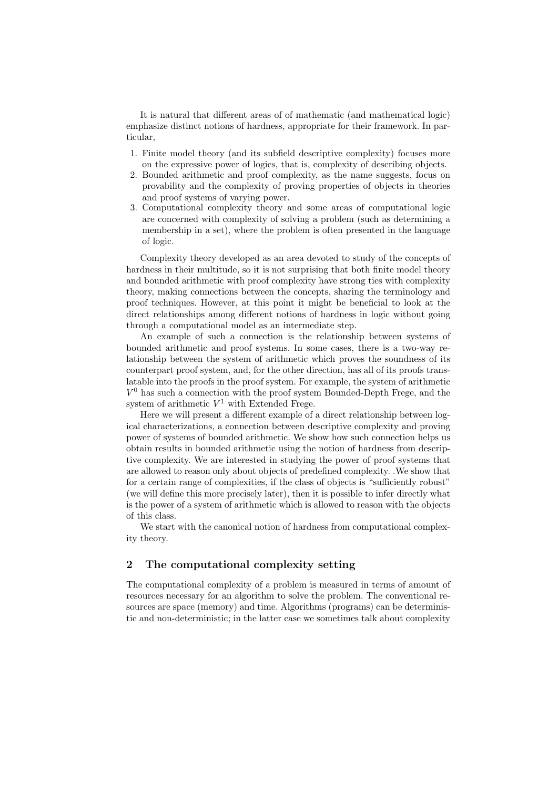It is natural that different areas of of mathematic (and mathematical logic) emphasize distinct notions of hardness, appropriate for their framework. In particular,

- 1. Finite model theory (and its subfield descriptive complexity) focuses more on the expressive power of logics, that is, complexity of describing objects.
- 2. Bounded arithmetic and proof complexity, as the name suggests, focus on provability and the complexity of proving properties of objects in theories and proof systems of varying power.
- 3. Computational complexity theory and some areas of computational logic are concerned with complexity of solving a problem (such as determining a membership in a set), where the problem is often presented in the language of logic.

Complexity theory developed as an area devoted to study of the concepts of hardness in their multitude, so it is not surprising that both finite model theory and bounded arithmetic with proof complexity have strong ties with complexity theory, making connections between the concepts, sharing the terminology and proof techniques. However, at this point it might be beneficial to look at the direct relationships among different notions of hardness in logic without going through a computational model as an intermediate step.

An example of such a connection is the relationship between systems of bounded arithmetic and proof systems. In some cases, there is a two-way relationship between the system of arithmetic which proves the soundness of its counterpart proof system, and, for the other direction, has all of its proofs translatable into the proofs in the proof system. For example, the system of arithmetic  $V<sup>0</sup>$  has such a connection with the proof system Bounded-Depth Frege, and the system of arithmetic  $V^1$  with Extended Frege.

Here we will present a different example of a direct relationship between logical characterizations, a connection between descriptive complexity and proving power of systems of bounded arithmetic. We show how such connection helps us obtain results in bounded arithmetic using the notion of hardness from descriptive complexity. We are interested in studying the power of proof systems that are allowed to reason only about objects of predefined complexity. .We show that for a certain range of complexities, if the class of objects is "sufficiently robust" (we will define this more precisely later), then it is possible to infer directly what is the power of a system of arithmetic which is allowed to reason with the objects of this class.

We start with the canonical notion of hardness from computational complexity theory.

# 2 The computational complexity setting

The computational complexity of a problem is measured in terms of amount of resources necessary for an algorithm to solve the problem. The conventional resources are space (memory) and time. Algorithms (programs) can be deterministic and non-deterministic; in the latter case we sometimes talk about complexity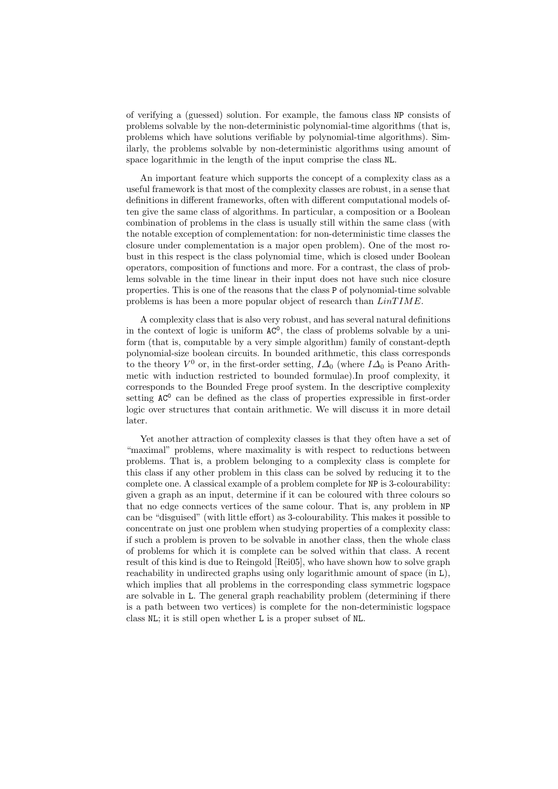of verifying a (guessed) solution. For example, the famous class NP consists of problems solvable by the non-deterministic polynomial-time algorithms (that is, problems which have solutions verifiable by polynomial-time algorithms). Similarly, the problems solvable by non-deterministic algorithms using amount of space logarithmic in the length of the input comprise the class NL.

An important feature which supports the concept of a complexity class as a useful framework is that most of the complexity classes are robust, in a sense that definitions in different frameworks, often with different computational models often give the same class of algorithms. In particular, a composition or a Boolean combination of problems in the class is usually still within the same class (with the notable exception of complementation: for non-deterministic time classes the closure under complementation is a major open problem). One of the most robust in this respect is the class polynomial time, which is closed under Boolean operators, composition of functions and more. For a contrast, the class of problems solvable in the time linear in their input does not have such nice closure properties. This is one of the reasons that the class P of polynomial-time solvable problems is has been a more popular object of research than  $LinTIME$ .

A complexity class that is also very robust, and has several natural definitions in the context of logic is uniform  $AC^0$ , the class of problems solvable by a uniform (that is, computable by a very simple algorithm) family of constant-depth polynomial-size boolean circuits. In bounded arithmetic, this class corresponds to the theory  $V^0$  or, in the first-order setting,  $I\Delta_0$  (where  $I\Delta_0$  is Peano Arithmetic with induction restricted to bounded formulae).In proof complexity, it corresponds to the Bounded Frege proof system. In the descriptive complexity setting  $AC^0$  can be defined as the class of properties expressible in first-order logic over structures that contain arithmetic. We will discuss it in more detail later.

Yet another attraction of complexity classes is that they often have a set of "maximal" problems, where maximality is with respect to reductions between problems. That is, a problem belonging to a complexity class is complete for this class if any other problem in this class can be solved by reducing it to the complete one. A classical example of a problem complete for NP is 3-colourability: given a graph as an input, determine if it can be coloured with three colours so that no edge connects vertices of the same colour. That is, any problem in NP can be "disguised" (with little effort) as 3-colourability. This makes it possible to concentrate on just one problem when studying properties of a complexity class: if such a problem is proven to be solvable in another class, then the whole class of problems for which it is complete can be solved within that class. A recent result of this kind is due to Reingold [Rei05], who have shown how to solve graph reachability in undirected graphs using only logarithmic amount of space (in L), which implies that all problems in the corresponding class symmetric logspace are solvable in L. The general graph reachability problem (determining if there is a path between two vertices) is complete for the non-deterministic logspace class NL; it is still open whether L is a proper subset of NL.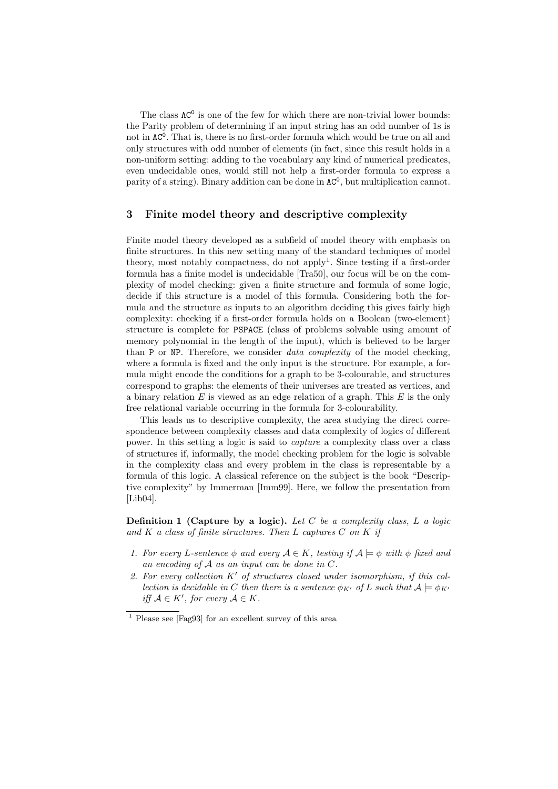The class  $AC^0$  is one of the few for which there are non-trivial lower bounds: the Parity problem of determining if an input string has an odd number of 1s is not in  $AC^0$ . That is, there is no first-order formula which would be true on all and only structures with odd number of elements (in fact, since this result holds in a non-uniform setting: adding to the vocabulary any kind of numerical predicates, even undecidable ones, would still not help a first-order formula to express a parity of a string). Binary addition can be done in  $AC^0$ , but multiplication cannot.

# 3 Finite model theory and descriptive complexity

Finite model theory developed as a subfield of model theory with emphasis on finite structures. In this new setting many of the standard techniques of model theory, most notably compactness, do not apply<sup>1</sup>. Since testing if a first-order formula has a finite model is undecidable [Tra50], our focus will be on the complexity of model checking: given a finite structure and formula of some logic, decide if this structure is a model of this formula. Considering both the formula and the structure as inputs to an algorithm deciding this gives fairly high complexity: checking if a first-order formula holds on a Boolean (two-element) structure is complete for PSPACE (class of problems solvable using amount of memory polynomial in the length of the input), which is believed to be larger than P or NP. Therefore, we consider *data complexity* of the model checking, where a formula is fixed and the only input is the structure. For example, a formula might encode the conditions for a graph to be 3-colourable, and structures correspond to graphs: the elements of their universes are treated as vertices, and a binary relation  $E$  is viewed as an edge relation of a graph. This  $E$  is the only free relational variable occurring in the formula for 3-colourability.

This leads us to descriptive complexity, the area studying the direct correspondence between complexity classes and data complexity of logics of different power. In this setting a logic is said to capture a complexity class over a class of structures if, informally, the model checking problem for the logic is solvable in the complexity class and every problem in the class is representable by a formula of this logic. A classical reference on the subject is the book "Descriptive complexity" by Immerman [Imm99]. Here, we follow the presentation from [Lib04].

**Definition 1 (Capture by a logic).** Let C be a complexity class, L a logic and K a class of finite structures. Then L captures C on K if

- 1. For every L-sentence  $\phi$  and every  $A \in K$ , testing if  $A \models \phi$  with  $\phi$  fixed and an encoding of  $A$  as an input can be done in  $C$ .
- 2. For every collection  $K'$  of structures closed under isomorphism, if this collection is decidable in C then there is a sentence  $\phi_{K'}$  of L such that  $A \models \phi_{K'}$ iff  $A \in K'$ , for every  $A \in K$ .

<sup>&</sup>lt;sup>1</sup> Please see [Fag93] for an excellent survey of this area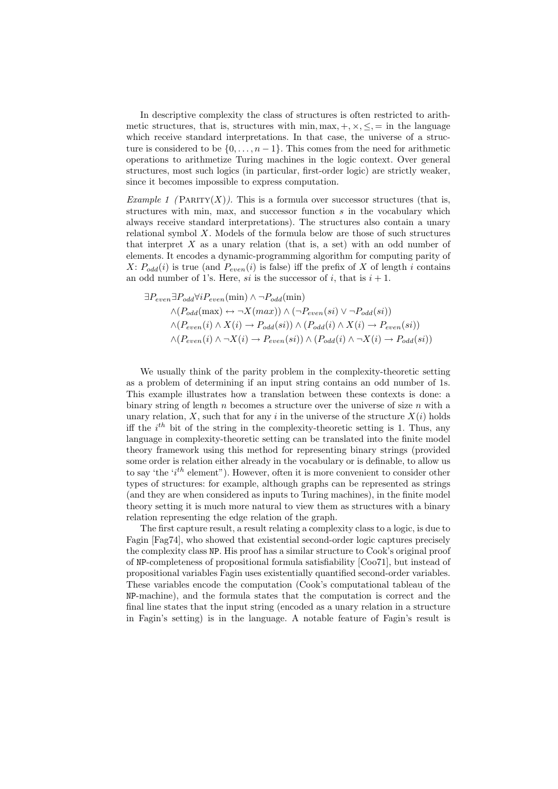In descriptive complexity the class of structures is often restricted to arithmetic structures, that is, structures with min, max,  $+, \times, \leq, =$  in the language which receive standard interpretations. In that case, the universe of a structure is considered to be  $\{0, \ldots, n-1\}$ . This comes from the need for arithmetic operations to arithmetize Turing machines in the logic context. Over general structures, most such logics (in particular, first-order logic) are strictly weaker, since it becomes impossible to express computation.

Example 1 ( $\text{PARTY}(X)$ ). This is a formula over successor structures (that is, structures with min, max, and successor function  $s$  in the vocabulary which always receive standard interpretations). The structures also contain a unary relational symbol  $X$ . Models of the formula below are those of such structures that interpret  $X$  as a unary relation (that is, a set) with an odd number of elements. It encodes a dynamic-programming algorithm for computing parity of X:  $P_{odd}(i)$  is true (and  $P_{even}(i)$  is false) iff the prefix of X of length i contains an odd number of 1's. Here, si is the successor of i, that is  $i + 1$ .

$$
\exists P_{even} \exists P_{odd} \forall i P_{even} (\text{min}) \land \neg P_{odd} (\text{min})
$$
  
\n
$$
\land (P_{odd} (\text{max}) \leftrightarrow \neg X (\text{max})) \land (\neg P_{even}(si) \lor \neg P_{odd}(si))
$$
  
\n
$$
\land (P_{even}(i) \land X(i) \rightarrow P_{odd}(si)) \land (P_{odd}(i) \land X(i) \rightarrow P_{even}(si))
$$
  
\n
$$
\land (P_{even}(i) \land \neg X(i) \rightarrow P_{even}(si)) \land (P_{odd}(i) \land \neg X(i) \rightarrow P_{odd}(si))
$$

We usually think of the parity problem in the complexity-theoretic setting as a problem of determining if an input string contains an odd number of 1s. This example illustrates how a translation between these contexts is done: a binary string of length n becomes a structure over the universe of size  $n$  with a unary relation, X, such that for any i in the universe of the structure  $X(i)$  holds iff the  $i^{th}$  bit of the string in the complexity-theoretic setting is 1. Thus, any language in complexity-theoretic setting can be translated into the finite model theory framework using this method for representing binary strings (provided some order is relation either already in the vocabulary or is definable, to allow us to say 'the ' $i^{th}$  element"). However, often it is more convenient to consider other types of structures: for example, although graphs can be represented as strings (and they are when considered as inputs to Turing machines), in the finite model theory setting it is much more natural to view them as structures with a binary relation representing the edge relation of the graph.

The first capture result, a result relating a complexity class to a logic, is due to Fagin [Fag74], who showed that existential second-order logic captures precisely the complexity class NP. His proof has a similar structure to Cook's original proof of NP-completeness of propositional formula satisfiability [Coo71], but instead of propositional variables Fagin uses existentially quantified second-order variables. These variables encode the computation (Cook's computational tableau of the NP-machine), and the formula states that the computation is correct and the final line states that the input string (encoded as a unary relation in a structure in Fagin's setting) is in the language. A notable feature of Fagin's result is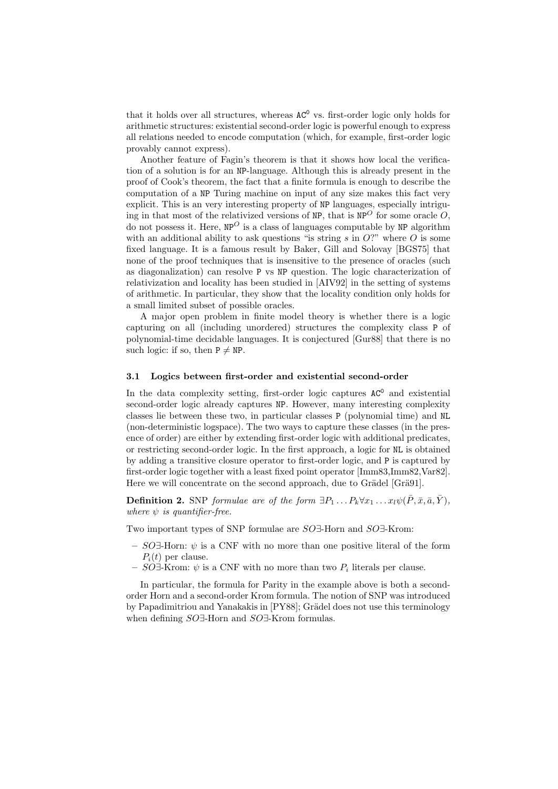that it holds over all structures, whereas  $AC^0$  vs. first-order logic only holds for arithmetic structures: existential second-order logic is powerful enough to express all relations needed to encode computation (which, for example, first-order logic provably cannot express).

Another feature of Fagin's theorem is that it shows how local the verification of a solution is for an NP-language. Although this is already present in the proof of Cook's theorem, the fact that a finite formula is enough to describe the computation of a NP Turing machine on input of any size makes this fact very explicit. This is an very interesting property of NP languages, especially intriguing in that most of the relativized versions of NP, that is  $NP^O$  for some oracle O, do not possess it. Here,  $\mathbb{NP}^O$  is a class of languages computable by NP algorithm with an additional ability to ask questions "is string  $s$  in  $O$ ?" where  $O$  is some fixed language. It is a famous result by Baker, Gill and Solovay [BGS75] that none of the proof techniques that is insensitive to the presence of oracles (such as diagonalization) can resolve P vs NP question. The logic characterization of relativization and locality has been studied in [AIV92] in the setting of systems of arithmetic. In particular, they show that the locality condition only holds for a small limited subset of possible oracles.

A major open problem in finite model theory is whether there is a logic capturing on all (including unordered) structures the complexity class P of polynomial-time decidable languages. It is conjectured [Gur88] that there is no such logic: if so, then  $P \neq NP$ .

#### 3.1 Logics between first-order and existential second-order

In the data complexity setting, first-order logic captures  $AC^0$  and existential second-order logic already captures NP. However, many interesting complexity classes lie between these two, in particular classes P (polynomial time) and NL (non-deterministic logspace). The two ways to capture these classes (in the presence of order) are either by extending first-order logic with additional predicates, or restricting second-order logic. In the first approach, a logic for NL is obtained by adding a transitive closure operator to first-order logic, and P is captured by first-order logic together with a least fixed point operator [Imm83,Imm82,Var82]. Here we will concentrate on the second approach, due to Grädel [Grä91].

**Definition 2.** SNP formulae are of the form  $\exists P_1 \dots P_k \forall x_1 \dots x_l \psi(\bar{P}, \bar{x}, \bar{a}, \bar{Y})$ , where  $\psi$  is quantifier-free.

Two important types of SNP formulae are SO∃-Horn and SO∃-Krom:

- $SO\exists$ -Horn:  $\psi$  is a CNF with no more than one positive literal of the form  $P_i(t)$  per clause.
- SO∃-Krom:  $\psi$  is a CNF with no more than two  $P_i$  literals per clause.

In particular, the formula for Parity in the example above is both a secondorder Horn and a second-order Krom formula. The notion of SNP was introduced by Papadimitriou and Yanakakis in  $[PY88]$ ; Grädel does not use this terminology when defining SO∃-Horn and SO∃-Krom formulas.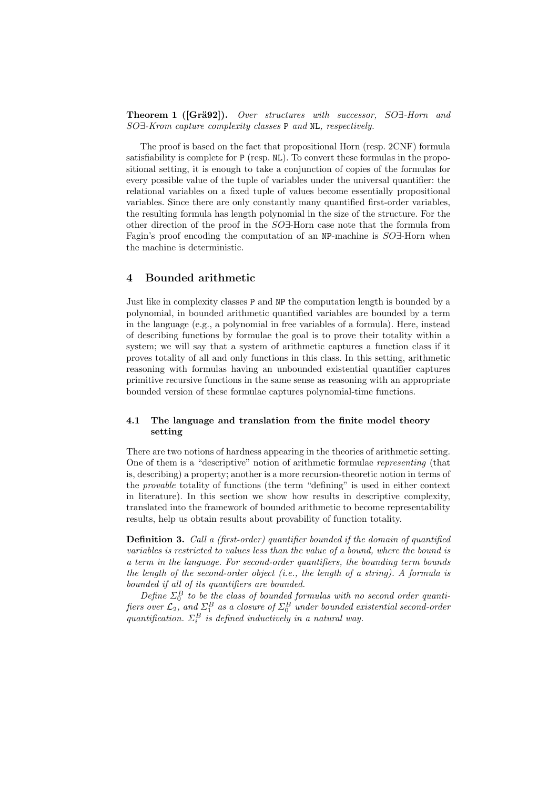Theorem 1 ([Grä92]). Over structures with successor, SO∃-Horn and SO∃-Krom capture complexity classes P and NL, respectively.

The proof is based on the fact that propositional Horn (resp. 2CNF) formula satisfiability is complete for P (resp. NL). To convert these formulas in the propositional setting, it is enough to take a conjunction of copies of the formulas for every possible value of the tuple of variables under the universal quantifier: the relational variables on a fixed tuple of values become essentially propositional variables. Since there are only constantly many quantified first-order variables, the resulting formula has length polynomial in the size of the structure. For the other direction of the proof in the SO∃-Horn case note that the formula from Fagin's proof encoding the computation of an NP-machine is SO∃-Horn when the machine is deterministic.

# 4 Bounded arithmetic

Just like in complexity classes P and NP the computation length is bounded by a polynomial, in bounded arithmetic quantified variables are bounded by a term in the language (e.g., a polynomial in free variables of a formula). Here, instead of describing functions by formulae the goal is to prove their totality within a system; we will say that a system of arithmetic captures a function class if it proves totality of all and only functions in this class. In this setting, arithmetic reasoning with formulas having an unbounded existential quantifier captures primitive recursive functions in the same sense as reasoning with an appropriate bounded version of these formulae captures polynomial-time functions.

# 4.1 The language and translation from the finite model theory setting

There are two notions of hardness appearing in the theories of arithmetic setting. One of them is a "descriptive" notion of arithmetic formulae representing (that is, describing) a property; another is a more recursion-theoretic notion in terms of the provable totality of functions (the term "defining" is used in either context in literature). In this section we show how results in descriptive complexity, translated into the framework of bounded arithmetic to become representability results, help us obtain results about provability of function totality.

Definition 3. Call a (first-order) quantifier bounded if the domain of quantified variables is restricted to values less than the value of a bound, where the bound is a term in the language. For second-order quantifiers, the bounding term bounds the length of the second-order object (i.e., the length of a string). A formula is bounded if all of its quantifiers are bounded.

Define  $\Sigma_0^B$  to be the class of bounded formulas with no second order quanti- $D$ efine  $\mathcal{L}_0$  to be the class of bounded formalls with no second order quantifiers over  $\mathcal{L}_2$ , and  $\Sigma_1^B$  as a closure of  $\Sigma_0^B$  under bounded existential second-order quantification.  $\Sigma_i^B$  is defined inductively in a natural way.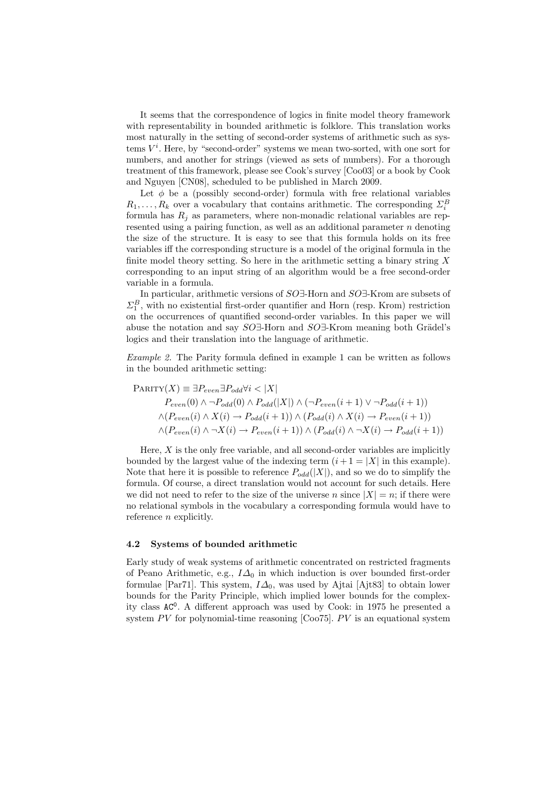It seems that the correspondence of logics in finite model theory framework with representability in bounded arithmetic is folklore. This translation works most naturally in the setting of second-order systems of arithmetic such as systems  $V^i$ . Here, by "second-order" systems we mean two-sorted, with one sort for numbers, and another for strings (viewed as sets of numbers). For a thorough treatment of this framework, please see Cook's survey [Coo03] or a book by Cook and Nguyen [CN08], scheduled to be published in March 2009.

Let  $\phi$  be a (possibly second-order) formula with free relational variables  $R_1, \ldots, R_k$  over a vocabulary that contains arithmetic. The corresponding  $\Sigma_i^B$ formula has  $R_i$  as parameters, where non-monadic relational variables are represented using a pairing function, as well as an additional parameter  $n$  denoting the size of the structure. It is easy to see that this formula holds on its free variables iff the corresponding structure is a model of the original formula in the finite model theory setting. So here in the arithmetic setting a binary string  $X$ corresponding to an input string of an algorithm would be a free second-order variable in a formula.

In particular, arithmetic versions of SO∃-Horn and SO∃-Krom are subsets of  $\Sigma_1^B$ , with no existential first-order quantifier and Horn (resp. Krom) restriction on the occurrences of quantified second-order variables. In this paper we will abuse the notation and say  $SO=$ -Horn and  $SO=$ -Krom meaning both Grädel's logics and their translation into the language of arithmetic.

Example 2. The Parity formula defined in example 1 can be written as follows in the bounded arithmetic setting:

$$
PARTY(X) \equiv \exists P_{even} \exists P_{odd} \forall i < |X|
$$
\n
$$
P_{even}(0) \land \neg P_{odd}(0) \land P_{odd}(|X|) \land (\neg P_{even}(i+1) \lor \neg P_{odd}(i+1))
$$
\n
$$
\land (P_{even}(i) \land X(i) \to P_{odd}(i+1)) \land (P_{odd}(i) \land X(i) \to P_{even}(i+1))
$$
\n
$$
\land (P_{even}(i) \land \neg X(i) \to P_{even}(i+1)) \land (P_{odd}(i) \land \neg X(i) \to P_{odd}(i+1))
$$

Here,  $X$  is the only free variable, and all second-order variables are implicitly bounded by the largest value of the indexing term  $(i+1=|X|$  in this example). Note that here it is possible to reference  $P_{odd}(|X|)$ , and so we do to simplify the formula. Of course, a direct translation would not account for such details. Here we did not need to refer to the size of the universe n since  $|X| = n$ ; if there were no relational symbols in the vocabulary a corresponding formula would have to reference n explicitly.

#### 4.2 Systems of bounded arithmetic

Early study of weak systems of arithmetic concentrated on restricted fragments of Peano Arithmetic, e.g.,  $I\Delta_0$  in which induction is over bounded first-order formulae [Par71]. This system,  $I\Delta_0$ , was used by Ajtai [Ajt83] to obtain lower bounds for the Parity Principle, which implied lower bounds for the complexity class  $AC^0$ . A different approach was used by Cook: in 1975 he presented a system PV for polynomial-time reasoning  $[Coo75]$ . PV is an equational system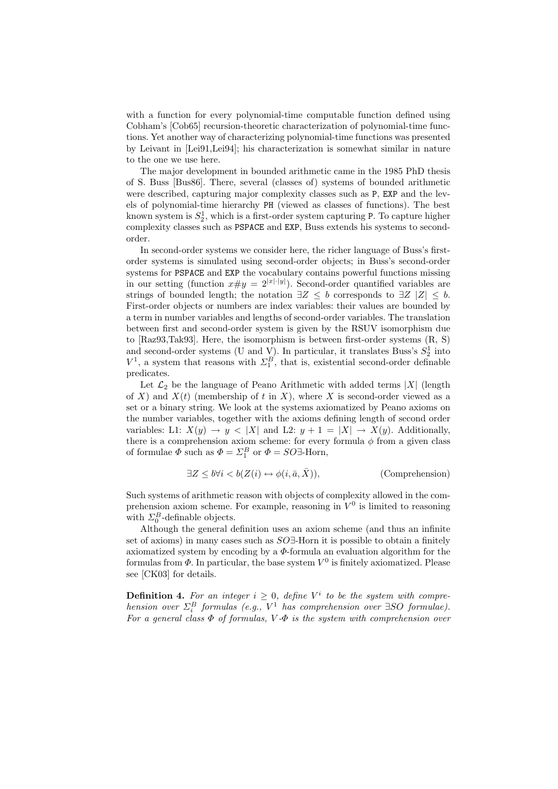with a function for every polynomial-time computable function defined using Cobham's [Cob65] recursion-theoretic characterization of polynomial-time functions. Yet another way of characterizing polynomial-time functions was presented by Leivant in [Lei91,Lei94]; his characterization is somewhat similar in nature to the one we use here.

The major development in bounded arithmetic came in the 1985 PhD thesis of S. Buss [Bus86]. There, several (classes of) systems of bounded arithmetic were described, capturing major complexity classes such as P, EXP and the levels of polynomial-time hierarchy PH (viewed as classes of functions). The best known system is  $S_2^1$ , which is a first-order system capturing P. To capture higher complexity classes such as PSPACE and EXP, Buss extends his systems to secondorder.

In second-order systems we consider here, the richer language of Buss's firstorder systems is simulated using second-order objects; in Buss's second-order systems for PSPACE and EXP the vocabulary contains powerful functions missing in our setting (function  $x \# y = 2^{|x| \cdot |y|}$ ). Second-order quantified variables are strings of bounded length; the notation  $\exists Z \leq b$  corresponds to  $\exists Z |Z| \leq b$ . First-order objects or numbers are index variables: their values are bounded by a term in number variables and lengths of second-order variables. The translation between first and second-order system is given by the RSUV isomorphism due to [Raz93,Tak93]. Here, the isomorphism is between first-order systems (R, S) and second-order systems (U and V). In particular, it translates Buss's  $S_2^1$  into  $V^1$ , a system that reasons with  $\Sigma_1^B$ , that is, existential second-order definable predicates.

Let  $\mathcal{L}_2$  be the language of Peano Arithmetic with added terms |X| (length) of X) and  $X(t)$  (membership of t in X), where X is second-order viewed as a set or a binary string. We look at the systems axiomatized by Peano axioms on the number variables, together with the axioms defining length of second order variables: L1:  $X(y) \rightarrow y \le |X|$  and L2:  $y + 1 = |X| \rightarrow X(y)$ . Additionally, there is a comprehension axiom scheme: for every formula  $\phi$  from a given class of formulae  $\Phi$  such as  $\Phi = \Sigma_1^B$  or  $\Phi = SO \exists$ -Horn,

$$
\exists Z \le b \forall i < b(Z(i) \leftrightarrow \phi(i, \bar{a}, \bar{X})), \tag{Comprehension}
$$

Such systems of arithmetic reason with objects of complexity allowed in the comprehension axiom scheme. For example, reasoning in  $V^0$  is limited to reasoning with  $\Sigma_0^B$ -definable objects.

Although the general definition uses an axiom scheme (and thus an infinite set of axioms) in many cases such as SO∃-Horn it is possible to obtain a finitely axiomatized system by encoding by a  $\Phi$ -formula an evaluation algorithm for the formulas from  $\Phi$ . In particular, the base system  $V^0$  is finitely axiomatized. Please see [CK03] for details.

**Definition 4.** For an integer  $i \geq 0$ , define  $V^i$  to be the system with comprehension over  $\Sigma_i^B$  formulas (e.g.,  $V^1$  has comprehension over  $\exists SO$  formulae). For a general class  $\Phi$  of formulas, V- $\Phi$  is the system with comprehension over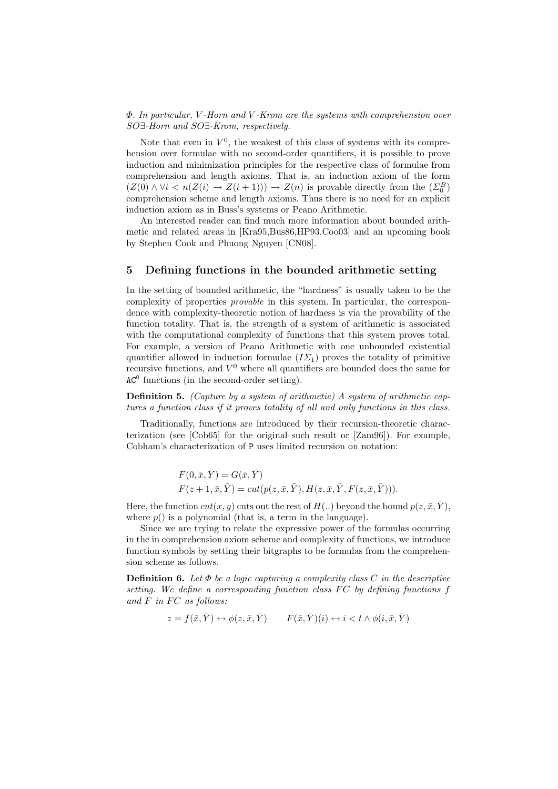Φ. In particular, V -Horn and V -Krom are the systems with comprehension over SO∃-Horn and SO∃-Krom, respectively.

Note that even in  $V^0$ , the weakest of this class of systems with its comprehension over formulae with no second-order quantifiers, it is possible to prove induction and minimization principles for the respective class of formulae from comprehension and length axioms. That is, an induction axiom of the form  $(Z(0) \wedge \forall i < n(Z(i) \rightarrow Z(i+1))) \rightarrow Z(n)$  is provable directly from the  $(\Sigma_0^B)$ comprehension scheme and length axioms. Thus there is no need for an explicit induction axiom as in Buss's systems or Peano Arithmetic.

An interested reader can find much more information about bounded arithmetic and related areas in [Kra95,Bus86,HP93,Coo03] and an upcoming book by Stephen Cook and Phuong Nguyen [CN08].

### 5 Defining functions in the bounded arithmetic setting

In the setting of bounded arithmetic, the "hardness" is usually taken to be the complexity of properties provable in this system. In particular, the correspondence with complexity-theoretic notion of hardness is via the provability of the function totality. That is, the strength of a system of arithmetic is associated with the computational complexity of functions that this system proves total. For example, a version of Peano Arithmetic with one unbounded existential quantifier allowed in induction formulae  $(I\Sigma_1)$  proves the totality of primitive recursive functions, and  $V^0$  where all quantifiers are bounded does the same for AC<sup>o</sup> functions (in the second-order setting).

Definition 5. (Capture by a system of arithmetic) A system of arithmetic captures a function class if it proves totality of all and only functions in this class.

Traditionally, functions are introduced by their recursion-theoretic characterization (see [Cob65] for the original such result or [Zam96]). For example, Cobham's characterization of P uses limited recursion on notation:

$$
F(0, \bar{x}, \bar{Y}) = G(\bar{x}, \bar{Y})
$$
  

$$
F(z+1, \bar{x}, \bar{Y}) = cut(p(z, \bar{x}, \bar{Y}), H(z, \bar{x}, \bar{Y}, F(z, \bar{x}, \bar{Y}))).
$$

Here, the function  $cut(x, y)$  cuts out the rest of  $H(.)$  beyond the bound  $p(z, \bar{x}, \bar{Y})$ , where  $p()$  is a polynomial (that is, a term in the language).

Since we are trying to relate the expressive power of the formulas occurring in the in comprehension axiom scheme and complexity of functions, we introduce function symbols by setting their bitgraphs to be formulas from the comprehension scheme as follows.

**Definition 6.** Let  $\Phi$  be a logic capturing a complexity class C in the descriptive setting. We define a corresponding function class  $FC$  by defining functions f and  $F$  in  $FC$  as follows:

$$
z = f(\bar{x}, \bar{Y}) \leftrightarrow \phi(z, \bar{x}, \bar{Y}) \qquad F(\bar{x}, \bar{Y})(i) \leftrightarrow i < t \land \phi(i, \bar{x}, \bar{Y})
$$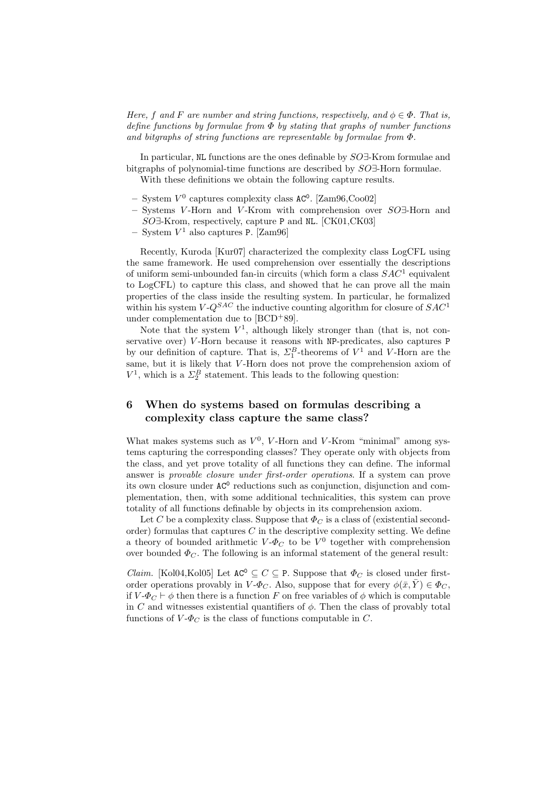Here, f and F are number and string functions, respectively, and  $\phi \in \Phi$ . That is, define functions by formulae from  $\Phi$  by stating that graphs of number functions and bitgraphs of string functions are representable by formulae from Φ.

In particular, NL functions are the ones definable by SO∃-Krom formulae and bitgraphs of polynomial-time functions are described by SO∃-Horn formulae. With these definitions we obtain the following capture results.

- System  $V^0$  captures complexity class  $AC^0$ . [Zam96,Coo02]
- Systems V -Horn and V -Krom with comprehension over SO∃-Horn and SO∃-Krom, respectively, capture P and NL. [CK01,CK03]
- $-$  System  $V^1$  also captures P. [Zam96]

Recently, Kuroda [Kur07] characterized the complexity class LogCFL using the same framework. He used comprehension over essentially the descriptions of uniform semi-unbounded fan-in circuits (which form a class  $SAC<sup>1</sup>$  equivalent to LogCFL) to capture this class, and showed that he can prove all the main properties of the class inside the resulting system. In particular, he formalized within his system  $V$ - $Q^{SAC}$  the inductive counting algorithm for closure of  $SAC<sup>1</sup>$ under complementation due to [BCD+89].

Note that the system  $V^1$ , although likely stronger than (that is, not conservative over) V-Horn because it reasons with NP-predicates, also captures P by our definition of capture. That is,  $\Sigma_1^B$ -theorems of  $V^1$  and V-Horn are the same, but it is likely that V-Horn does not prove the comprehension axiom of  $V^1$ , which is a  $\Sigma_2^B$  statement. This leads to the following question:

# 6 When do systems based on formulas describing a complexity class capture the same class?

What makes systems such as  $V^0$ , V-Horn and V-Krom "minimal" among systems capturing the corresponding classes? They operate only with objects from the class, and yet prove totality of all functions they can define. The informal answer is provable closure under first-order operations. If a system can prove its own closure under  $AC^0$  reductions such as conjunction, disjunction and complementation, then, with some additional technicalities, this system can prove totality of all functions definable by objects in its comprehension axiom.

Let C be a complexity class. Suppose that  $\Phi_C$  is a class of (existential secondorder) formulas that captures  $C$  in the descriptive complexity setting. We define a theory of bounded arithmetic  $V \cdot \Phi_C$  to be  $V^0$  together with comprehension over bounded  $\Phi_C$ . The following is an informal statement of the general result:

*Claim.* [Kol04,Kol05] Let  $AC^0 \subseteq C \subseteq P$ . Suppose that  $\Phi_C$  is closed under firstorder operations provably in V- $\Phi_C$ . Also, suppose that for every  $\phi(\bar{x}, \bar{Y}) \in \Phi_C$ , if  $V \cdot \Phi_C \vdash \phi$  then there is a function F on free variables of  $\phi$  which is computable in C and witnesses existential quantifiers of  $\phi$ . Then the class of provably total functions of  $V \cdot \Phi_C$  is the class of functions computable in C.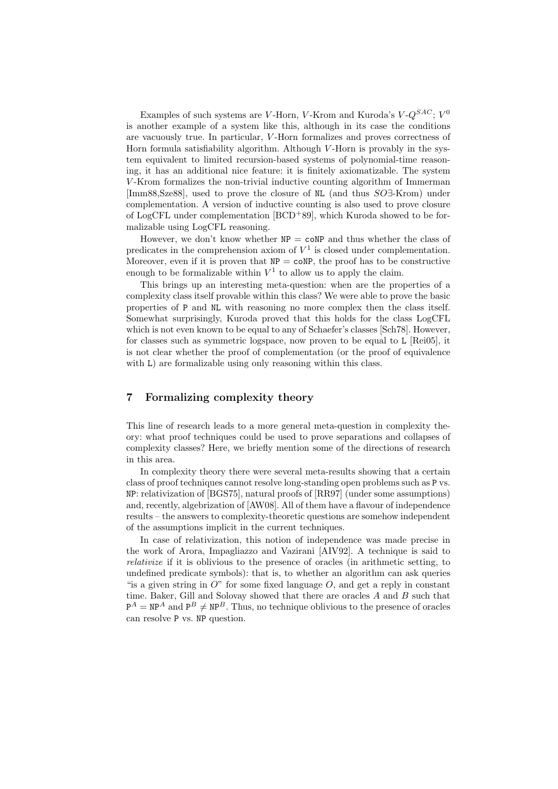Examples of such systems are V-Horn, V-Krom and Kuroda's  $V-Q^{SAC}$ ;  $V^0$ is another example of a system like this, although in its case the conditions are vacuously true. In particular, V -Horn formalizes and proves correctness of Horn formula satisfiability algorithm. Although V-Horn is provably in the system equivalent to limited recursion-based systems of polynomial-time reasoning, it has an additional nice feature: it is finitely axiomatizable. The system V -Krom formalizes the non-trivial inductive counting algorithm of Immerman [Imm88,Sze88], used to prove the closure of NL (and thus SO∃-Krom) under complementation. A version of inductive counting is also used to prove closure of LogCFL under complementation [BCD+89], which Kuroda showed to be formalizable using LogCFL reasoning.

However, we don't know whether  $NP = \text{coNP}$  and thus whether the class of predicates in the comprehension axiom of  $V^1$  is closed under complementation. Moreover, even if it is proven that  $NP = \text{coNP}$ , the proof has to be constructive enough to be formalizable within  $V^1$  to allow us to apply the claim.

This brings up an interesting meta-question: when are the properties of a complexity class itself provable within this class? We were able to prove the basic properties of P and NL with reasoning no more complex then the class itself. Somewhat surprisingly, Kuroda proved that this holds for the class LogCFL which is not even known to be equal to any of Schaefer's classes [Sch78]. However, for classes such as symmetric logspace, now proven to be equal to L [Rei05], it is not clear whether the proof of complementation (or the proof of equivalence with L) are formalizable using only reasoning within this class.

# 7 Formalizing complexity theory

This line of research leads to a more general meta-question in complexity theory: what proof techniques could be used to prove separations and collapses of complexity classes? Here, we briefly mention some of the directions of research in this area.

In complexity theory there were several meta-results showing that a certain class of proof techniques cannot resolve long-standing open problems such as P vs. NP: relativization of [BGS75], natural proofs of [RR97] (under some assumptions) and, recently, algebrization of [AW08]. All of them have a flavour of independence results – the answers to complexity-theoretic questions are somehow independent of the assumptions implicit in the current techniques.

In case of relativization, this notion of independence was made precise in the work of Arora, Impagliazzo and Vazirani [AIV92]. A technique is said to relativize if it is oblivious to the presence of oracles (in arithmetic setting, to undefined predicate symbols): that is, to whether an algorithm can ask queries "is a given string in  $O$ " for some fixed language  $O$ , and get a reply in constant time. Baker, Gill and Solovay showed that there are oracles A and B such that  $P^{A} = NP^{A}$  and  $P^{B} \neq NP^{B}$ . Thus, no technique oblivious to the presence of oracles can resolve P vs. NP question.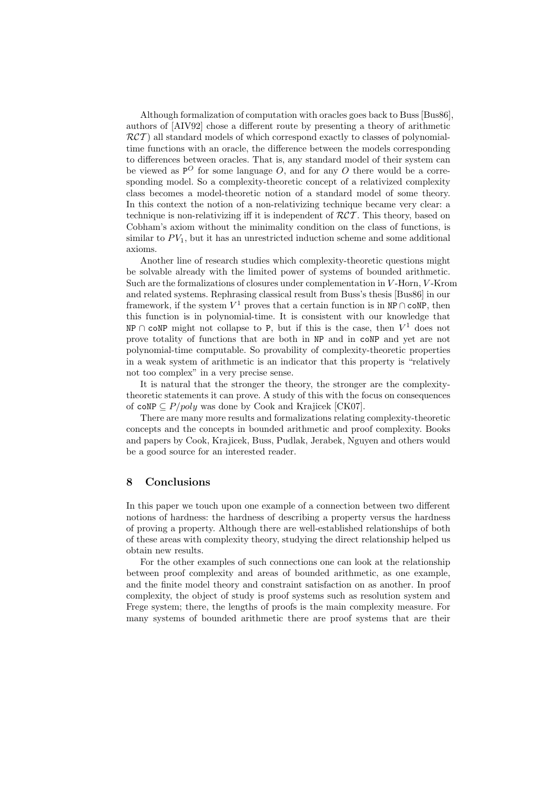Although formalization of computation with oracles goes back to Buss [Bus86], authors of [AIV92] chose a different route by presenting a theory of arithmetic  $RCT$ ) all standard models of which correspond exactly to classes of polynomialtime functions with an oracle, the difference between the models corresponding to differences between oracles. That is, any standard model of their system can be viewed as  $P^O$  for some language O, and for any O there would be a corresponding model. So a complexity-theoretic concept of a relativized complexity class becomes a model-theoretic notion of a standard model of some theory. In this context the notion of a non-relativizing technique became very clear: a technique is non-relativizing iff it is independent of  $\mathcal{RCI}$ . This theory, based on Cobham's axiom without the minimality condition on the class of functions, is similar to  $PV_1$ , but it has an unrestricted induction scheme and some additional axioms.

Another line of research studies which complexity-theoretic questions might be solvable already with the limited power of systems of bounded arithmetic. Such are the formalizations of closures under complementation in V -Horn, V -Krom and related systems. Rephrasing classical result from Buss's thesis [Bus86] in our framework, if the system  $V^1$  proves that a certain function is in NP ∩ coNP, then this function is in polynomial-time. It is consistent with our knowledge that  $\text{NP} \cap \text{coNP}$  might not collapse to P, but if this is the case, then  $V^1$  does not prove totality of functions that are both in NP and in coNP and yet are not polynomial-time computable. So provability of complexity-theoretic properties in a weak system of arithmetic is an indicator that this property is "relatively not too complex" in a very precise sense.

It is natural that the stronger the theory, the stronger are the complexitytheoretic statements it can prove. A study of this with the focus on consequences of coNP  $\subseteq$  P/poly was done by Cook and Krajicek [CK07].

There are many more results and formalizations relating complexity-theoretic concepts and the concepts in bounded arithmetic and proof complexity. Books and papers by Cook, Krajicek, Buss, Pudlak, Jerabek, Nguyen and others would be a good source for an interested reader.

# 8 Conclusions

In this paper we touch upon one example of a connection between two different notions of hardness: the hardness of describing a property versus the hardness of proving a property. Although there are well-established relationships of both of these areas with complexity theory, studying the direct relationship helped us obtain new results.

For the other examples of such connections one can look at the relationship between proof complexity and areas of bounded arithmetic, as one example, and the finite model theory and constraint satisfaction on as another. In proof complexity, the object of study is proof systems such as resolution system and Frege system; there, the lengths of proofs is the main complexity measure. For many systems of bounded arithmetic there are proof systems that are their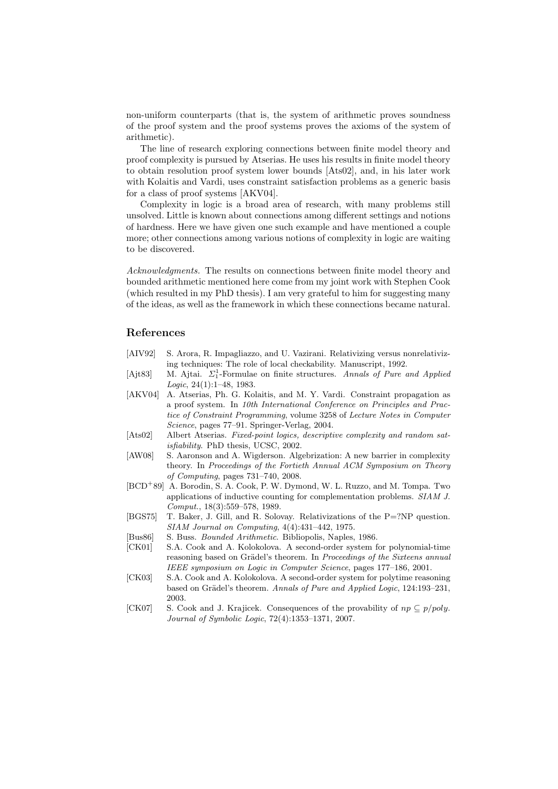non-uniform counterparts (that is, the system of arithmetic proves soundness of the proof system and the proof systems proves the axioms of the system of arithmetic).

The line of research exploring connections between finite model theory and proof complexity is pursued by Atserias. He uses his results in finite model theory to obtain resolution proof system lower bounds [Ats02], and, in his later work with Kolaitis and Vardi, uses constraint satisfaction problems as a generic basis for a class of proof systems [AKV04].

Complexity in logic is a broad area of research, with many problems still unsolved. Little is known about connections among different settings and notions of hardness. Here we have given one such example and have mentioned a couple more; other connections among various notions of complexity in logic are waiting to be discovered.

Acknowledgments. The results on connections between finite model theory and bounded arithmetic mentioned here come from my joint work with Stephen Cook (which resulted in my PhD thesis). I am very grateful to him for suggesting many of the ideas, as well as the framework in which these connections became natural.

# References

- [AIV92] S. Arora, R. Impagliazzo, and U. Vazirani. Relativizing versus nonrelativizing techniques: The role of local checkability. Manuscript, 1992.
- [Ajt83] M. Ajtai.  $\Sigma_1^1$ -Formulae on finite structures. Annals of Pure and Applied Logic, 24(1):1–48, 1983.
- [AKV04] A. Atserias, Ph. G. Kolaitis, and M. Y. Vardi. Constraint propagation as a proof system. In 10th International Conference on Principles and Practice of Constraint Programming, volume 3258 of Lecture Notes in Computer Science, pages 77–91. Springer-Verlag, 2004.
- [Ats02] Albert Atserias. Fixed-point logics, descriptive complexity and random satisfiability. PhD thesis, UCSC, 2002.
- [AW08] S. Aaronson and A. Wigderson. Algebrization: A new barrier in complexity theory. In Proceedings of the Fortieth Annual ACM Symposium on Theory of Computing, pages 731–740, 2008.
- [BCD<sup>+</sup>89] A. Borodin, S. A. Cook, P. W. Dymond, W. L. Ruzzo, and M. Tompa. Two applications of inductive counting for complementation problems. SIAM J. Comput., 18(3):559–578, 1989.
- [BGS75] T. Baker, J. Gill, and R. Solovay. Relativizations of the P=?NP question. SIAM Journal on Computing, 4(4):431–442, 1975.
- [Bus86] S. Buss. Bounded Arithmetic. Bibliopolis, Naples, 1986.
- [CK01] S.A. Cook and A. Kolokolova. A second-order system for polynomial-time reasoning based on Grädel's theorem. In Proceedings of the Sixteens annual IEEE symposium on Logic in Computer Science, pages 177–186, 2001.
- [CK03] S.A. Cook and A. Kolokolova. A second-order system for polytime reasoning based on Grädel's theorem. Annals of Pure and Applied Logic, 124:193-231, 2003.
- [CK07] S. Cook and J. Krajicek. Consequences of the provability of  $np \subseteq p/poly$ . Journal of Symbolic Logic, 72(4):1353–1371, 2007.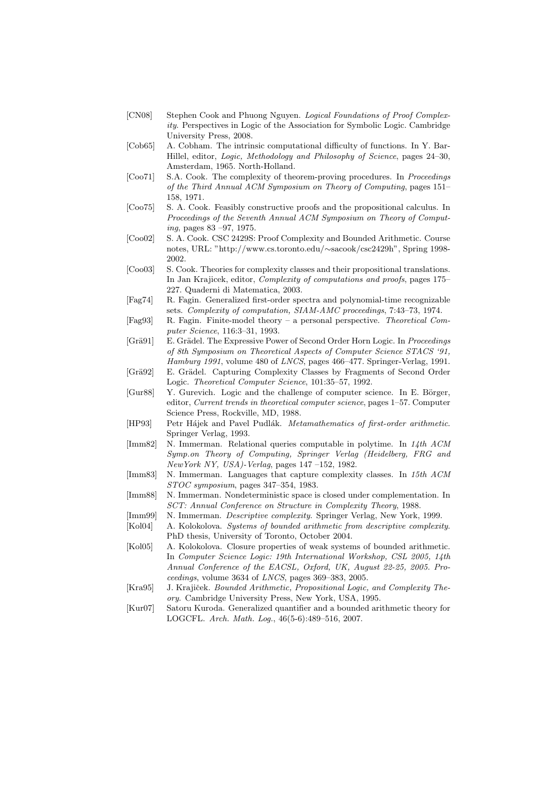- [CN08] Stephen Cook and Phuong Nguyen. Logical Foundations of Proof Complexity. Perspectives in Logic of the Association for Symbolic Logic. Cambridge University Press, 2008.
- [Cob65] A. Cobham. The intrinsic computational difficulty of functions. In Y. Bar-Hillel, editor, Logic, Methodology and Philosophy of Science, pages 24–30, Amsterdam, 1965. North-Holland.
- [Coo71] S.A. Cook. The complexity of theorem-proving procedures. In Proceedings of the Third Annual ACM Symposium on Theory of Computing, pages 151– 158, 1971.
- [Coo75] S. A. Cook. Feasibly constructive proofs and the propositional calculus. In Proceedings of the Seventh Annual ACM Symposium on Theory of Computing, pages 83 –97, 1975.
- [Coo02] S. A. Cook. CSC 2429S: Proof Complexity and Bounded Arithmetic. Course notes, URL: "http://www.cs.toronto.edu/∼sacook/csc2429h", Spring 1998- 2002.
- [Coo03] S. Cook. Theories for complexity classes and their propositional translations. In Jan Krajicek, editor, Complexity of computations and proofs, pages 175– 227. Quaderni di Matematica, 2003.
- [Fag74] R. Fagin. Generalized first-order spectra and polynomial-time recognizable sets. Complexity of computation, SIAM-AMC proceedings, 7:43–73, 1974.
- [Fag93] R. Fagin. Finite-model theory a personal perspective. Theoretical Computer Science, 116:3–31, 1993.
- [Grä91] E. Grädel. The Expressive Power of Second Order Horn Logic. In Proceedings of 8th Symposium on Theoretical Aspects of Computer Science STACS '91, Hamburg 1991, volume 480 of LNCS, pages 466–477. Springer-Verlag, 1991.
- [Grä92] E. Grädel. Capturing Complexity Classes by Fragments of Second Order Logic. Theoretical Computer Science, 101:35–57, 1992.
- [Gur88] Y. Gurevich. Logic and the challenge of computer science. In E. Börger, editor, Current trends in theoretical computer science, pages 1–57. Computer Science Press, Rockville, MD, 1988.
- [HP93] Petr Hájek and Pavel Pudlák. Metamathematics of first-order arithmetic. Springer Verlag, 1993.
- [Imm82] N. Immerman. Relational queries computable in polytime. In  $14th$  ACM Symp.on Theory of Computing, Springer Verlag (Heidelberg, FRG and NewYork NY, USA)-Verlag, pages 147 –152, 1982.
- [Imm83] N. Immerman. Languages that capture complexity classes. In 15th ACM STOC symposium, pages 347–354, 1983.
- [Imm88] N. Immerman. Nondeterministic space is closed under complementation. In SCT: Annual Conference on Structure in Complexity Theory, 1988.
- [Imm99] N. Immerman. Descriptive complexity. Springer Verlag, New York, 1999.
- [Kol04] A. Kolokolova. Systems of bounded arithmetic from descriptive complexity. PhD thesis, University of Toronto, October 2004.
- [Kol05] A. Kolokolova. Closure properties of weak systems of bounded arithmetic. In Computer Science Logic: 19th International Workshop, CSL 2005, 14th Annual Conference of the EACSL, Oxford, UK, August 22-25, 2005. Pro $ceedings, volume 3634 of *LNCS*, pages 369–383, 2005.$
- [Kra95] J. Krajiček. Bounded Arithmetic, Propositional Logic, and Complexity Theory. Cambridge University Press, New York, USA, 1995.
- [Kur07] Satoru Kuroda. Generalized quantifier and a bounded arithmetic theory for LOGCFL. Arch. Math. Log., 46(5-6):489–516, 2007.